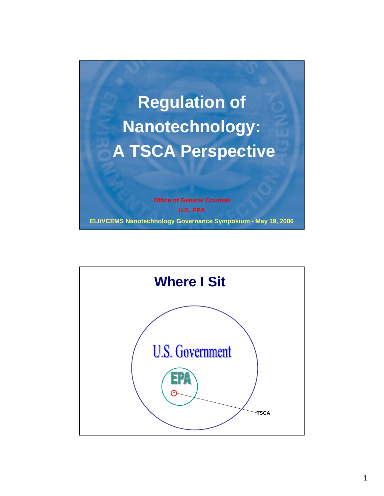

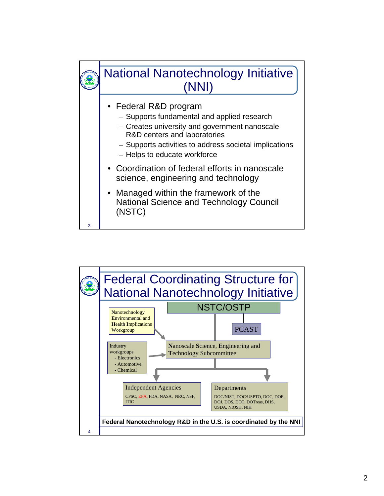

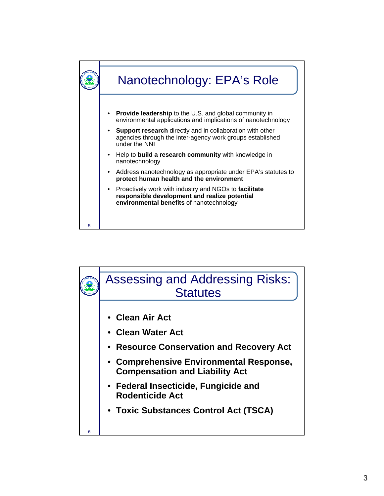

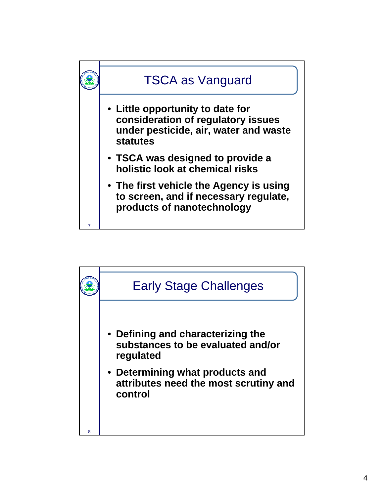

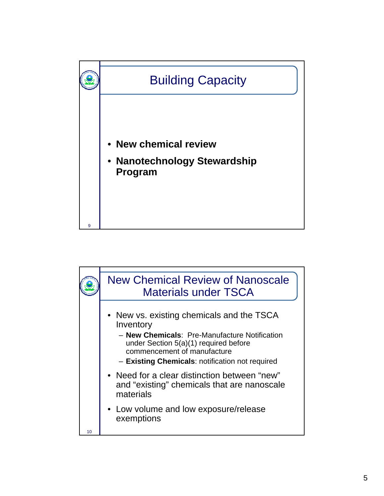